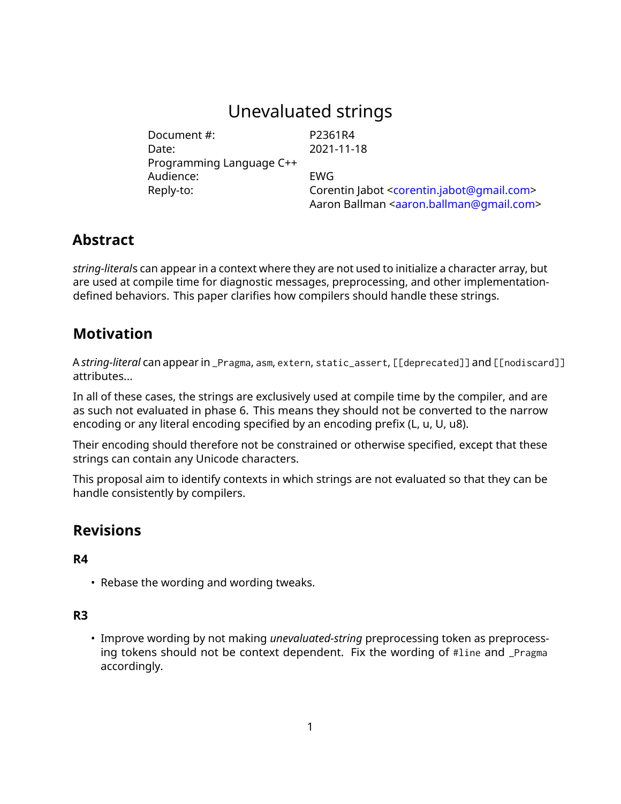# Unevaluated strings

Document #: P2361R4 Date: 2021-11-18 Programming Language C++ Audience: EWG

Reply-to: Corentin Jabot [<corentin.jabot@gmail.com>](mailto:corentin.jabot@gmail.com) Aaron Ballman [<aaron.ballman@gmail.com>](mailto:aaron.ballman@gmail.com)

# **Abstract**

*string-literal*s can appear in a context where they are not used to initialize a character array, but are used at compile time for diagnostic messages, preprocessing, and other implementationdefined behaviors. This paper clarifies how compilers should handle these strings.

# **Motivation**

A *string-literal* can appear in \_Pragma, asm, extern, static\_assert, [[deprecated]] and [[nodiscard]] attributes...

In all of these cases, the strings are exclusively used at compile time by the compiler, and are as such not evaluated in phase 6. This means they should not be converted to the narrow encoding or any literal encoding specified by an encoding prefix (L, u, U, u8).

Their encoding should therefore not be constrained or otherwise specified, except that these strings can contain any Unicode characters.

This proposal aim to identify contexts in which strings are not evaluated so that they can be handle consistently by compilers.

# **Revisions**

### **R4**

• Rebase the wording and wording tweaks.

### **R3**

• Improve wording by not making *unevaluated-string* preprocessing token as preprocessing tokens should not be context dependent. Fix the wording of #line and \_Pragma accordingly.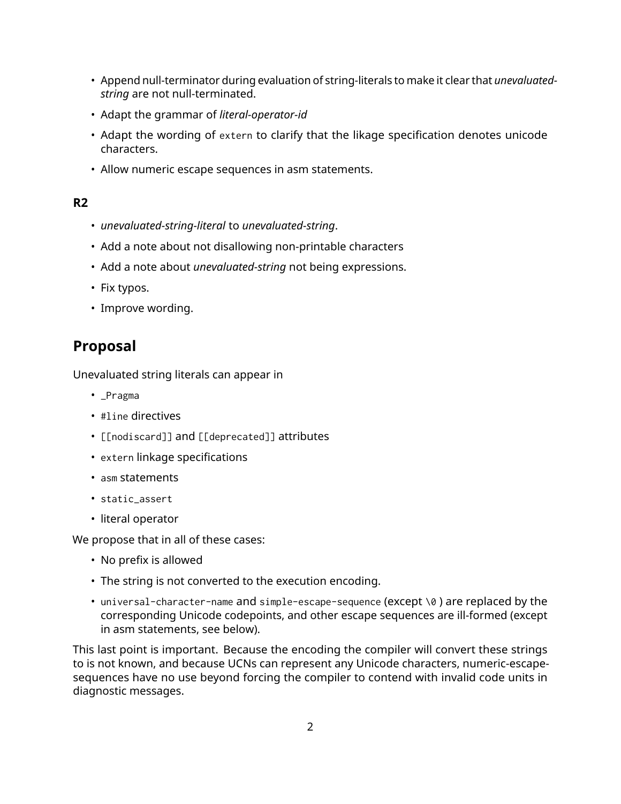- Append null-terminator during evaluation of string-literals to make it clear that *unevaluatedstring* are not null-terminated.
- Adapt the grammar of *literal-operator-id*
- Adapt the wording of extern to clarify that the likage specification denotes unicode characters.
- Allow numeric escape sequences in asm statements.

### **R2**

- *unevaluated-string-literal* to *unevaluated-string*.
- Add a note about not disallowing non-printable characters
- Add a note about *unevaluated-string* not being expressions.
- Fix typos.
- Improve wording.

# **Proposal**

Unevaluated string literals can appear in

- \_Pragma
- #line directives
- [[nodiscard]] and [[deprecated]] attributes
- extern linkage specifications
- asm statements
- static\_assert
- literal operator

We propose that in all of these cases:

- No prefix is allowed
- The string is not converted to the execution encoding.
- universal-character-name and simple-escape-sequence (except \0) are replaced by the corresponding Unicode codepoints, and other escape sequences are ill-formed (except in asm statements, see below).

This last point is important. Because the encoding the compiler will convert these strings to is not known, and because UCNs can represent any Unicode characters, numeric-escapesequences have no use beyond forcing the compiler to contend with invalid code units in diagnostic messages.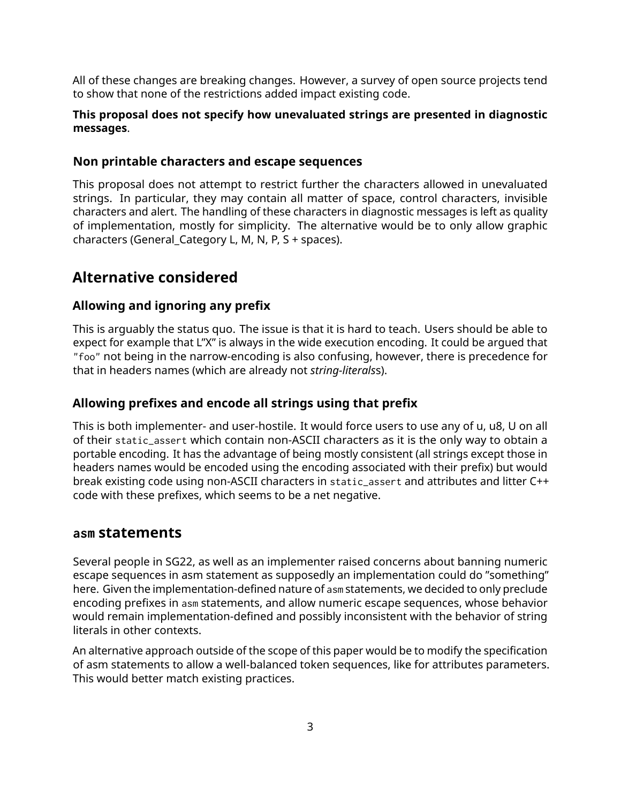All of these changes are breaking changes. However, a survey of open source projects tend to show that none of the restrictions added impact existing code.

#### **This proposal does not specify how unevaluated strings are presented in diagnostic messages**.

#### **Non printable characters and escape sequences**

This proposal does not attempt to restrict further the characters allowed in unevaluated strings. In particular, they may contain all matter of space, control characters, invisible characters and alert. The handling of these characters in diagnostic messages is left as quality of implementation, mostly for simplicity. The alternative would be to only allow graphic characters (General\_Category L, M, N, P, S + spaces).

## **Alternative considered**

### **Allowing and ignoring any prefix**

This is arguably the status quo. The issue is that it is hard to teach. Users should be able to expect for example that L"X" is always in the wide execution encoding. It could be argued that "foo" not being in the narrow-encoding is also confusing, however, there is precedence for that in headers names (which are already not *string-literals*s).

### **Allowing prefixes and encode all strings using that prefix**

This is both implementer- and user-hostile. It would force users to use any of u, u8, U on all of their static\_assert which contain non-ASCII characters as it is the only way to obtain a portable encoding. It has the advantage of being mostly consistent (all strings except those in headers names would be encoded using the encoding associated with their prefix) but would break existing code using non-ASCII characters in static\_assert and attributes and litter C++ code with these prefixes, which seems to be a net negative.

### **asm statements**

Several people in SG22, as well as an implementer raised concerns about banning numeric escape sequences in asm statement as supposedly an implementation could do "something" here. Given the implementation-defined nature of asm statements, we decided to only preclude encoding prefixes in asm statements, and allow numeric escape sequences, whose behavior would remain implementation-defined and possibly inconsistent with the behavior of string literals in other contexts.

An alternative approach outside of the scope of this paper would be to modify the specification of asm statements to allow a well-balanced token sequences, like for attributes parameters. This would better match existing practices.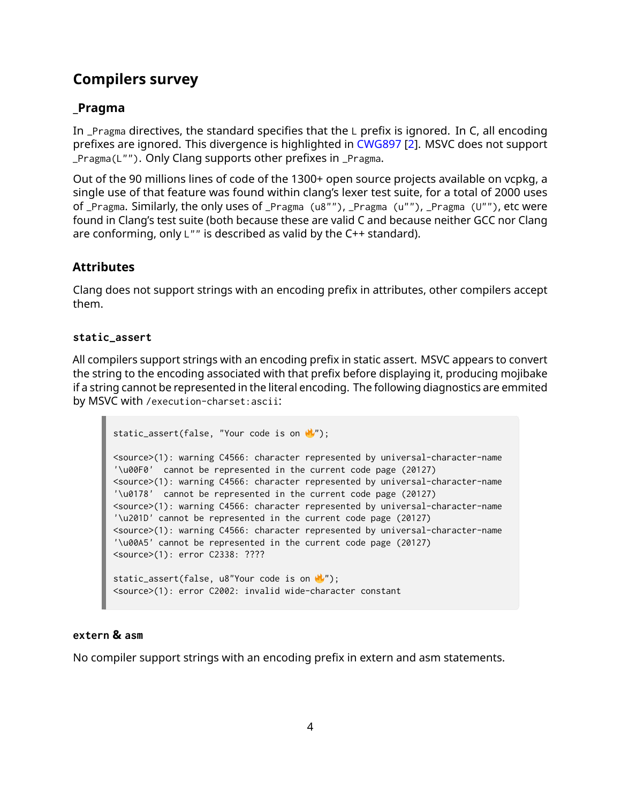# **Compilers survey**

## **\_Pragma**

In  $\Delta$  Pragma directives, the standard specifies that the  $\Delta$  prefix is ignored. In C, all encoding prefixes are ignored. This divergence is highlighted in [CWG897](https://wg21.link/CWG897) [\[2\]](#page-9-0). MSVC does not support \_Pragma(L""). Only Clang supports other prefixes in \_Pragma.

Out of the 90 millions lines of code of the 1300+ open source projects available on vcpkg, a single use of that feature was found within clang's lexer test suite, for a total of 2000 uses of \_Pragma. Similarly, the only uses of \_Pragma (u8""), \_Pragma (u""), \_Pragma (U""), etc were found in Clang's test suite (both because these are valid C and because neither GCC nor Clang are conforming, only L"" is described as valid by the C++ standard).

### **Attributes**

Clang does not support strings with an encoding prefix in attributes, other compilers accept them.

#### **static\_assert**

All compilers support strings with an encoding prefix in static assert. MSVC appears to convert the string to the encoding associated with that prefix before displaying it, producing mojibake if a string cannot be represented in the literal encoding. The following diagnostics are emmited by MSVC with /execution-charset:ascii:

```
static_assert(false, "Your code is on \mathcal{N}');
<source>(1): warning C4566: character represented by universal-character-name
'\u00F0' cannot be represented in the current code page (20127)
<source>(1): warning C4566: character represented by universal-character-name
'\u0178' cannot be represented in the current code page (20127)
<source>(1): warning C4566: character represented by universal-character-name
'\u201D' cannot be represented in the current code page (20127)
<source>(1): warning C4566: character represented by universal-character-name
'\u00A5' cannot be represented in the current code page (20127)
<source>(1): error C2338: ????
static_assert(false, u8"Your code is on \mathbf{w}');
<source>(1): error C2002: invalid wide-character constant
```
#### **extern & asm**

No compiler support strings with an encoding prefix in extern and asm statements.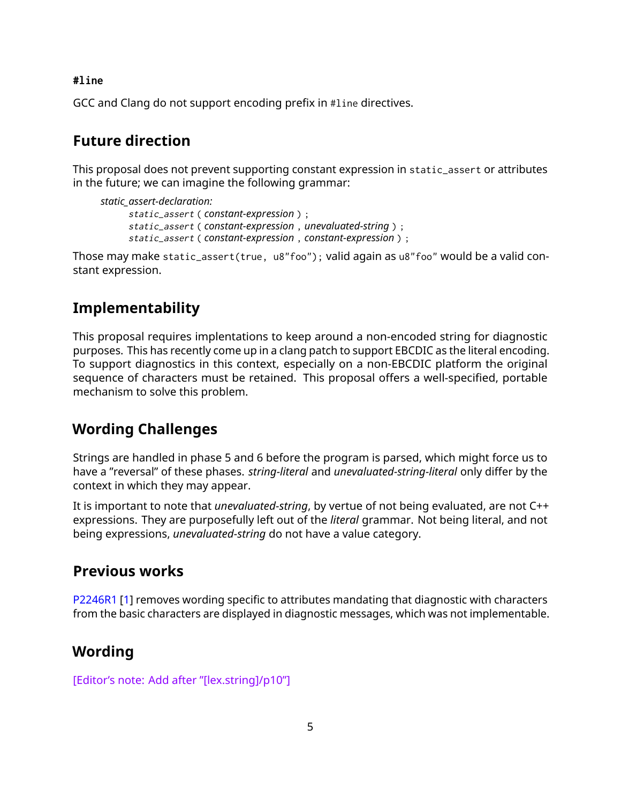**#line**

GCC and Clang do not support encoding prefix in #line directives.

## **Future direction**

This proposal does not prevent supporting constant expression in static\_assert or attributes in the future; we can imagine the following grammar:

```
static_assert-declaration:
      static_assert ( constant-expression ) ;
      static_assert ( constant-expression , unevaluated-string ) ;
      static_assert ( constant-expression , constant-expression ) ;
```
Those may make static\_assert(true, u8"foo"); valid again as u8"foo" would be a valid constant expression.

## **Implementability**

This proposal requires implentations to keep around a non-encoded string for diagnostic purposes. This has recently come up in a clang patch to support EBCDIC as the literal encoding. To support diagnostics in this context, especially on a non-EBCDIC platform the original sequence of characters must be retained. This proposal offers a well-specified, portable mechanism to solve this problem.

## **Wording Challenges**

Strings are handled in phase 5 and 6 before the program is parsed, which might force us to have a "reversal" of these phases. *string-literal* and *unevaluated-string-literal* only differ by the context in which they may appear.

It is important to note that *unevaluated-string*, by vertue of not being evaluated, are not C++ expressions. They are purposefully left out of the *literal* grammar. Not being literal, and not being expressions, *unevaluated-string* do not have a value category.

## **Previous works**

[P2246R1](https://wg21.link/P2246R1) [\[1\]](#page-9-1) removes wording specific to attributes mandating that diagnostic with characters from the basic characters are displayed in diagnostic messages, which was not implementable.

## **Wording**

[Editor's note: Add after "[lex.string]/p10"]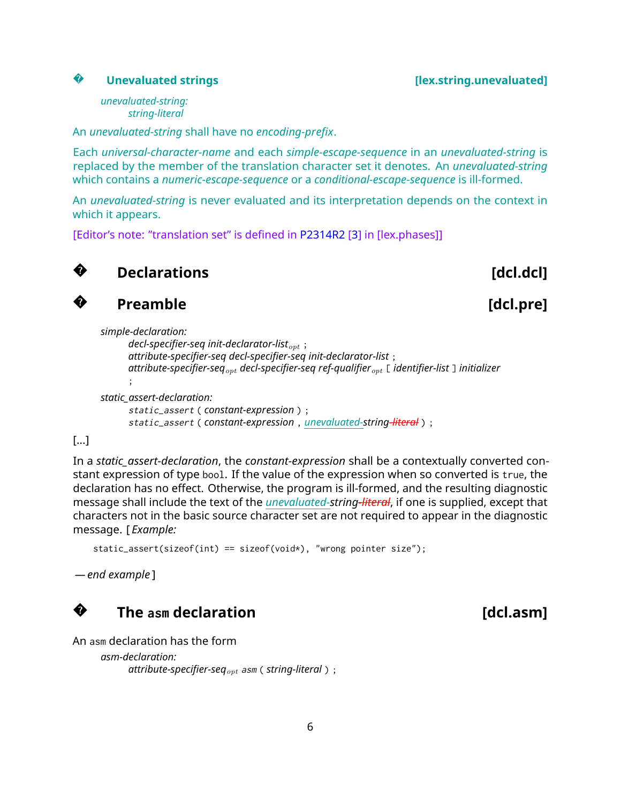#### **Unevaluated strings [lex.string.unevaluated]**

#### **?**

*unevaluated-string: string-literal*

An *unevaluated-string* shall have no *encoding-prefix*.

Each *universal-character-name* and each *simple-escape-sequence* in an *unevaluated-string* is replaced by the member of the translation character set it denotes. An *unevaluated-string* which contains a *numeric-escape-sequence* or a *conditional-escape-sequence* is ill-formed.

An *unevaluated-string* is never evaluated and its interpretation depends on the context in which it appears.

[Editor's note: "translation set" is defined in [P2314R2](https://wg21.link/P2314R2) [\[3\]](#page-10-0) in [lex.phases]]



**?**

## **Declarations** [dcl.dcl]

```
Preamble Example [dcl.pre]
```

```
simple-declaration:
      decl-specifier-seq init-declarator-listopt ;
      attribute-specifier-seq decl-specifier-seq init-declarator-list ;
      attribute-specifier-seqopt decl-specifier-seq ref-qualifieropt [ identifier-list ] initializer
       ;
static_assert-declaration:
      static_assert ( constant-expression ) ;
```
static\_assert ( *constant-expression* , *unevaluated-string-literal* ) ;

### [...]

In a *static\_assert-declaration*, the *constant-expression* shall be a contextually converted constant expression of type bool. If the value of the expression when so converted is true, the declaration has no effect. Otherwise, the program is ill-formed, and the resulting diagnostic message shall include the text of the *unevaluated-string-literal*, if one is supplied, except that characters not in the basic source character set are not required to appear in the diagnostic message. [ *Example:*

```
static_assert(sizeof(int) == sizeof(void*), "wrong pointer size");
```
*— end example* ]

#### **?The** asm declaration **and the set of the set of the set of the set of the set of the set of the set of the set of the set of the set of the set of the set of the set of the set of the set of the set of the set of the set**

```
An asm declaration has the form
```

```
asm-declaration:
      attribute-specifier-seqopt asm ( string-literal ) ;
```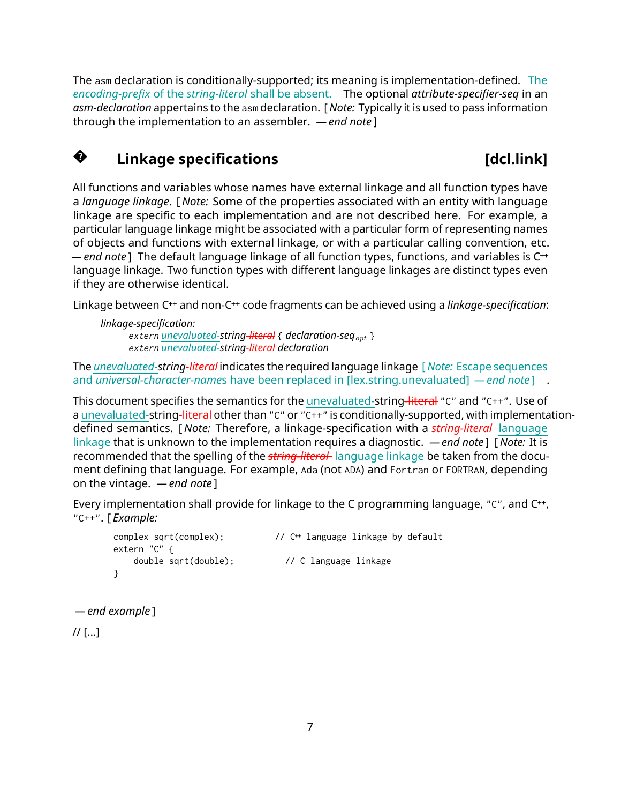The asm declaration is conditionally-supported; its meaning is implementation-defined. The *encoding-prefix* of the *string-literal* shall be absent. The optional *attribute-specifier-seq* in an *asm-declaration* appertains to the asm declaration. [ *Note:* Typically it is used to pass information through the implementation to an assembler. *— end note* ]

#### **?Linkage specifications** [dcl.link]

All functions and variables whose names have external linkage and all function types have a *language linkage*. [ *Note:* Some of the properties associated with an entity with language linkage are specific to each implementation and are not described here. For example, a particular language linkage might be associated with a particular form of representing names of objects and functions with external linkage, or with a particular calling convention, etc. *— end note* ] The default language linkage of all function types, functions, and variables is C++ language linkage. Two function types with different language linkages are distinct types even if they are otherwise identical.

Linkage between C++ and non-C++ code fragments can be achieved using a *linkage-specification*:

```
linkage-specification:
      extern unevaluated-string-literal { declaration-seqopt }
      extern unevaluated-string-literal declaration
```
The *unevaluated-string-literal* indicates the required language linkage [ *Note:* Escape sequences and *universal-character-name*s have been replaced in [lex.string.unevaluated] *— end note* ] .

This document specifies the semantics for the unevaluated-string-literal "C" and "C++". Use of a unevaluated-string-literal other than "C" or "C++" is conditionally-supported, with implementationdefined semantics. [ *Note:* Therefore, a linkage-specification with a *string-literal* language linkage that is unknown to the implementation requires a diagnostic. *— end note* ] [ *Note:* It is recommended that the spelling of the *string-literal* language linkage be taken from the document defining that language. For example, Ada (not ADA) and Fortran or FORTRAN, depending on the vintage. *— end note* ]

Every implementation shall provide for linkage to the C programming language, "C", and C<sup>++</sup>, "C++". [ *Example:*

```
complex sqrt(complex); // C++ language linkage by default
extern "C" {
   double sqrt(double); // C language linkage
}
```

```
— end example ]
```
// [...]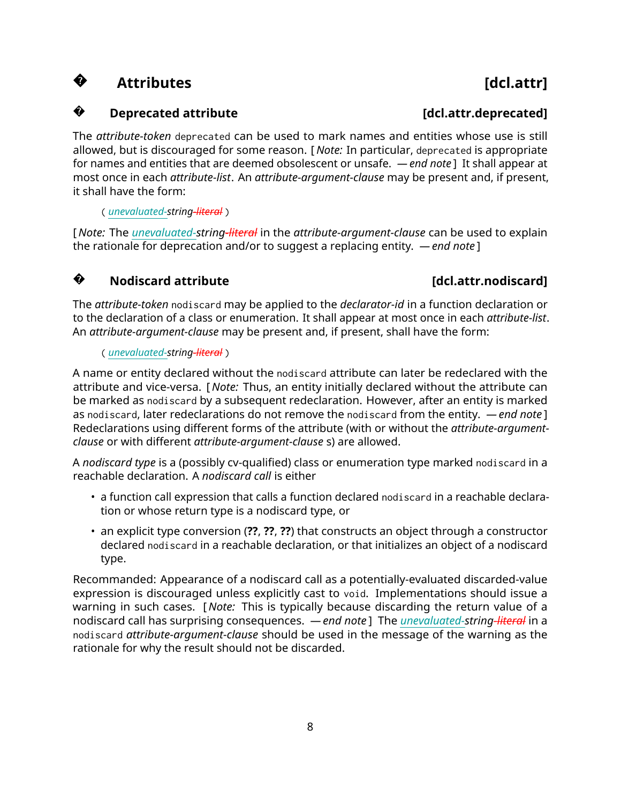#### **?**Attributes **and a set of the set of the set of the set of the set of the set of the set of the set of the set of the set of the set of the set of the set of the set of the set of the set of the set of the set of the set of**

#### **?Deprecated attribute latter is a constrained a constrained and constrained a constrained a constrained a constrained a constrained and constrained a constrained a constrained a constrained a constrained a constrained a co**

The *attribute-token* deprecated can be used to mark names and entities whose use is still allowed, but is discouraged for some reason. [ *Note:* In particular, deprecated is appropriate for names and entities that are deemed obsolescent or unsafe. *— end note* ] It shall appear at most once in each *attribute-list*. An *attribute-argument-clause* may be present and, if present, it shall have the form:

( *unevaluated-string-literal* )

[ *Note:* The *unevaluated-string-literal* in the *attribute-argument-clause* can be used to explain the rationale for deprecation and/or to suggest a replacing entity. *— end note* ]

#### **?Nodiscard attribute [dcl.attr.nodiscard]**

The *attribute-token* nodiscard may be applied to the *declarator-id* in a function declaration or to the declaration of a class or enumeration. It shall appear at most once in each *attribute-list*. An *attribute-argument-clause* may be present and, if present, shall have the form:

#### ( *unevaluated-string-literal* )

A name or entity declared without the nodiscard attribute can later be redeclared with the attribute and vice-versa. [ *Note:* Thus, an entity initially declared without the attribute can be marked as nodiscard by a subsequent redeclaration. However, after an entity is marked as nodiscard, later redeclarations do not remove the nodiscard from the entity. *— end note* ] Redeclarations using different forms of the attribute (with or without the *attribute-argumentclause* or with different *attribute-argument-clause* s) are allowed.

A *nodiscard type* is a (possibly cv-qualified) class or enumeration type marked nodiscard in a reachable declaration. A *nodiscard call* is either

- a function call expression that calls a function declared nodiscard in a reachable declaration or whose return type is a nodiscard type, or
- an explicit type conversion (**??**, **??**, **??**) that constructs an object through a constructor declared nodiscard in a reachable declaration, or that initializes an object of a nodiscard type.

Recommanded: Appearance of a nodiscard call as a potentially-evaluated discarded-value expression is discouraged unless explicitly cast to void. Implementations should issue a warning in such cases. [ *Note:* This is typically because discarding the return value of a nodiscard call has surprising consequences. *— end note* ] The *unevaluated-string-literal* in a nodiscard *attribute-argument-clause* should be used in the message of the warning as the rationale for why the result should not be discarded.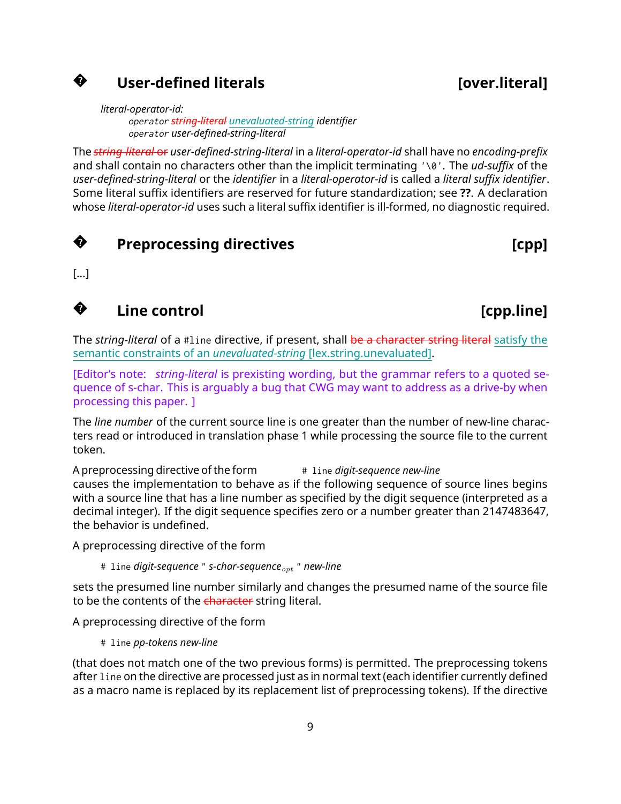# **User-defined literals [over.literal]**

*literal-operator-id:* operator *string-literal unevaluated-string identifier* operator *user-defined-string-literal*

The *string-literal* or *user-defined-string-literal* in a *literal-operator-id* shall have no *encoding-prefix* and shall contain no characters other than the implicit terminating '\0'. The *ud-suffix* of the *user-defined-string-literal* or the *identifier* in a *literal-operator-id* is called a *literal suffix identifier*. Some literal suffix identifiers are reserved for future standardization; see **??**. A declaration whose *literal-operator-id* uses such a literal suffix identifier is ill-formed, no diagnostic required.



**?**

## **Preprocessing directives and the example of the control of the control of the control of the control of the control of the control of the control of the control of the control of the control of the control of the contro**

[...]

**?**

# **Line control [cpp.line]**

The *string-literal* of a #line directive, if present, shall be a character string literal satisfy the semantic constraints of an *unevaluated-string* [lex.string.unevaluated].

[Editor's note: *string-literal* is prexisting wording, but the grammar refers to a quoted sequence of s-char. This is arguably a bug that CWG may want to address as a drive-by when processing this paper. ]

The *line number* of the current source line is one greater than the number of new-line characters read or introduced in translation phase 1 while processing the source file to the current token.

A preprocessing directive of the form  $\frac{4}{3}$  line *digit-sequence new-line* causes the implementation to behave as if the following sequence of source lines begins with a source line that has a line number as specified by the digit sequence (interpreted as a decimal integer). If the digit sequence specifies zero or a number greater than 2147483647, the behavior is undefined.

A preprocessing directive of the form

# line *digit-sequence* " *s-char-sequenceopt* " *new-line*

sets the presumed line number similarly and changes the presumed name of the source file to be the contents of the character string literal.

A preprocessing directive of the form

# line *pp-tokens new-line*

(that does not match one of the two previous forms) is permitted. The preprocessing tokens after line on the directive are processed just as in normal text (each identifier currently defined as a macro name is replaced by its replacement list of preprocessing tokens). If the directive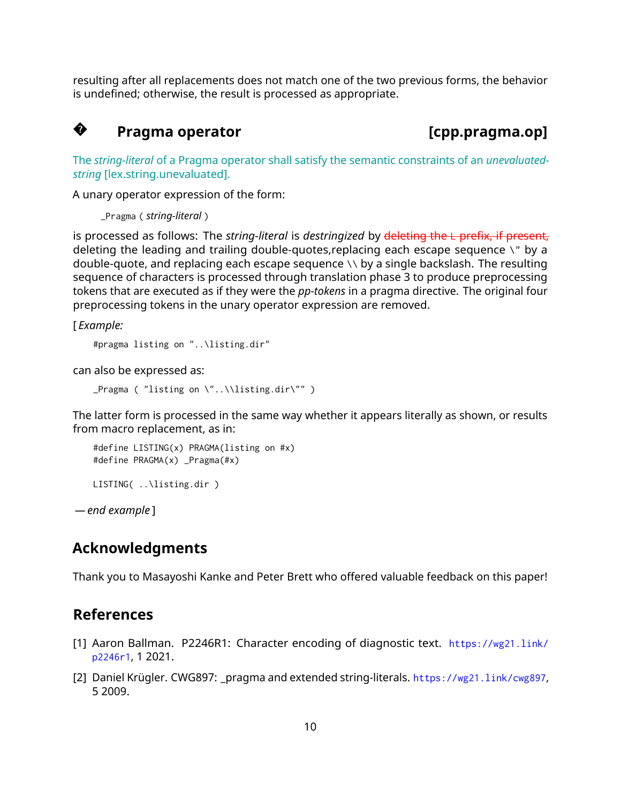resulting after all replacements does not match one of the two previous forms, the behavior is undefined; otherwise, the result is processed as appropriate.

#### **?**Pragma operator **and intervalsing the contract of the contract of the contract of the Pragma.op]**

The *string-literal* of a Pragma operator shall satisfy the semantic constraints of an *unevaluatedstring* [lex.string.unevaluated].

A unary operator expression of the form:

\_Pragma ( *string-literal* )

is processed as follows: The *string-literal* is *destringized* by deleting the L prefix, if present, deleting the leading and trailing double-quotes,replacing each escape sequence \" by a double-quote, and replacing each escape sequence \\ by a single backslash. The resulting sequence of characters is processed through translation phase 3 to produce preprocessing tokens that are executed as if they were the *pp-tokens* in a pragma directive. The original four preprocessing tokens in the unary operator expression are removed.

[ *Example:*

```
#pragma listing on "..\listing.dir"
```
can also be expressed as:

```
_Pragma ( "listing on \"..\\listing.dir\"" )
```
The latter form is processed in the same way whether it appears literally as shown, or results from macro replacement, as in:

```
#define LISTING(x) PRAGMA(listing on #x)
#define PRAGMA(x) _Pragma(#x)
```
LISTING( ..\listing.dir )

*— end example* ]

## **Acknowledgments**

Thank you to Masayoshi Kanke and Peter Brett who offered valuable feedback on this paper!

### **References**

- <span id="page-9-1"></span>[1] Aaron Ballman. P2246R1: Character encoding of diagnostic text. [https://wg21.link/](https://wg21.link/p2246r1) [p2246r1](https://wg21.link/p2246r1), 1 2021.
- <span id="page-9-0"></span>[2] Daniel Krügler. CWG897: pragma and extended string-literals. <https://wg21.link/cwg897>. 5 2009.